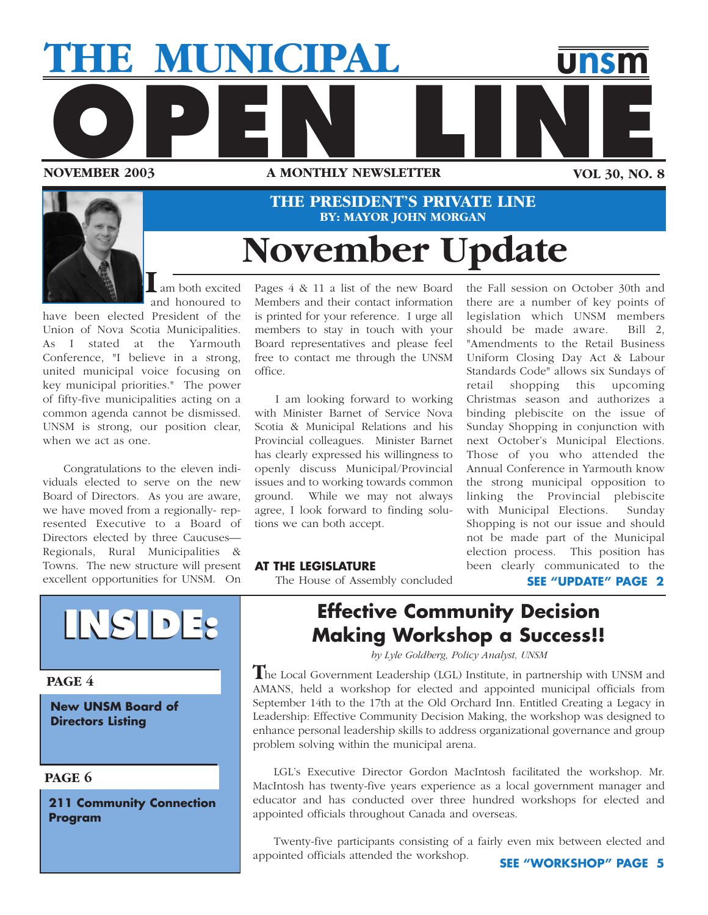



## **November Update THE PRESIDENT'S PRIVATE LINE BY: MAYOR JOHN MORGAN**

am both excited I am both excited<br>and honoured to

have been elected President of the Union of Nova Scotia Municipalities. As I stated at the Yarmouth Conference, "I believe in a strong, united municipal voice focusing on key municipal priorities." The power of fifty-five municipalities acting on a common agenda cannot be dismissed. UNSM is strong, our position clear, when we act as one.

Congratulations to the eleven individuals elected to serve on the new Board of Directors. As you are aware, we have moved from a regionally- represented Executive to a Board of Directors elected by three Caucuses— Regionals, Rural Municipalities & Towns. The new structure will present excellent opportunities for UNSM. On



**PAGE 4**

**New UNSM Board of Directors Listing**

## **PAGE 6**

**211 Community Connection Program**

Pages 4 & 11 a list of the new Board Members and their contact information is printed for your reference. I urge all members to stay in touch with your Board representatives and please feel free to contact me through the UNSM office.

I am looking forward to working with Minister Barnet of Service Nova Scotia & Municipal Relations and his Provincial colleagues. Minister Barnet has clearly expressed his willingness to openly discuss Municipal/Provincial issues and to working towards common ground. While we may not always agree, I look forward to finding solutions we can both accept.

the Fall session on October 30th and there are a number of key points of legislation which UNSM members should be made aware. Bill 2, "Amendments to the Retail Business Uniform Closing Day Act & Labour Standards Code" allows six Sundays of retail shopping this upcoming Christmas season and authorizes a binding plebiscite on the issue of Sunday Shopping in conjunction with next October's Municipal Elections. Those of you who attended the Annual Conference in Yarmouth know the strong municipal opposition to linking the Provincial plebiscite with Municipal Elections. Sunday Shopping is not our issue and should not be made part of the Municipal election process. This position has been clearly communicated to the

#### **AT THE LEGISLATURE**

The House of Assembly concluded

**SEE "UPDATE" PAGE 2**

## **Effective Community Decision Making Workshop a Success!!**

*by Lyle Goldberg, Policy Analyst, UNSM*

he Local Government Leadership (LGL) Institute, in partnership with UNSM and **T** AMANS, held a workshop for elected and appointed municipal officials from September 14th to the 17th at the Old Orchard Inn. Entitled Creating a Legacy in Leadership: Effective Community Decision Making, the workshop was designed to enhance personal leadership skills to address organizational governance and group problem solving within the municipal arena.

LGL's Executive Director Gordon MacIntosh facilitated the workshop. Mr. MacIntosh has twenty-five years experience as a local government manager and educator and has conducted over three hundred workshops for elected and appointed officials throughout Canada and overseas.

Twenty-five participants consisting of a fairly even mix between elected and appointed officials attended the workshop.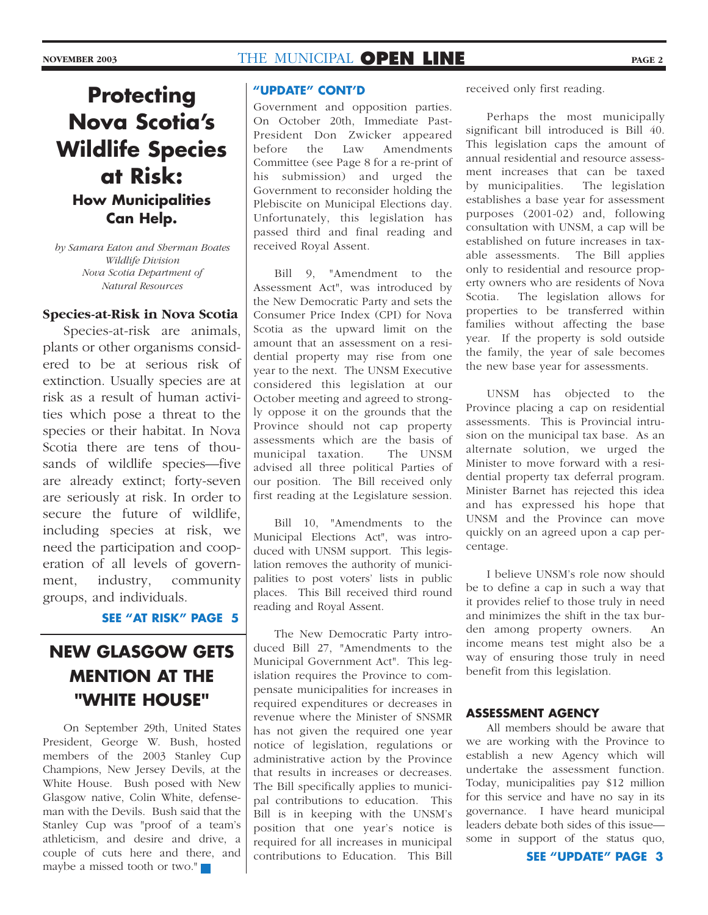## **Protecting Nova Scotia's Wildlife Species at Risk: How Municipalities Can Help.**

*by Samara Eaton and Sherman Boates Wildlife Division Nova Scotia Department of Natural Resources*

#### **Species-at-Risk in Nova Scotia**

Species-at-risk are animals, plants or other organisms considered to be at serious risk of extinction. Usually species are at risk as a result of human activities which pose a threat to the species or their habitat. In Nova Scotia there are tens of thousands of wildlife species—five are already extinct; forty-seven are seriously at risk. In order to secure the future of wildlife, including species at risk, we need the participation and cooperation of all levels of government, industry, community groups, and individuals.

#### **SEE "AT RISK" PAGE 5**

## **NEW GLASGOW GETS MENTION AT THE "WHITE HOUSE"**

On September 29th, United States President, George W. Bush, hosted members of the 2003 Stanley Cup Champions, New Jersey Devils, at the White House. Bush posed with New Glasgow native, Colin White, defenseman with the Devils. Bush said that the Stanley Cup was "proof of a team's athleticism, and desire and drive, a couple of cuts here and there, and maybe a missed tooth or two."

#### **"UPDATE" CONT'D**

Government and opposition parties. On October 20th, Immediate Past-President Don Zwicker appeared before the Law Amendments Committee (see Page 8 for a re-print of his submission) and urged the Government to reconsider holding the Plebiscite on Municipal Elections day. Unfortunately, this legislation has passed third and final reading and received Royal Assent.

Bill 9, "Amendment to the Assessment Act", was introduced by the New Democratic Party and sets the Consumer Price Index (CPI) for Nova Scotia as the upward limit on the amount that an assessment on a residential property may rise from one year to the next. The UNSM Executive considered this legislation at our October meeting and agreed to strongly oppose it on the grounds that the Province should not cap property assessments which are the basis of municipal taxation. The UNSM advised all three political Parties of our position. The Bill received only first reading at the Legislature session.

Bill 10, "Amendments to the Municipal Elections Act", was introduced with UNSM support. This legislation removes the authority of municipalities to post voters' lists in public places. This Bill received third round reading and Royal Assent.

The New Democratic Party introduced Bill 27, "Amendments to the Municipal Government Act". This legislation requires the Province to compensate municipalities for increases in required expenditures or decreases in revenue where the Minister of SNSMR has not given the required one year notice of legislation, regulations or administrative action by the Province that results in increases or decreases. The Bill specifically applies to municipal contributions to education. This Bill is in keeping with the UNSM's position that one year's notice is required for all increases in municipal contributions to Education. This Bill

received only first reading.

Perhaps the most municipally significant bill introduced is Bill 40. This legislation caps the amount of annual residential and resource assessment increases that can be taxed by municipalities. The legislation establishes a base year for assessment purposes (2001-02) and, following consultation with UNSM, a cap will be established on future increases in taxable assessments. The Bill applies only to residential and resource property owners who are residents of Nova Scotia. The legislation allows for properties to be transferred within families without affecting the base year. If the property is sold outside the family, the year of sale becomes the new base year for assessments.

UNSM has objected to the Province placing a cap on residential assessments. This is Provincial intrusion on the municipal tax base. As an alternate solution, we urged the Minister to move forward with a residential property tax deferral program. Minister Barnet has rejected this idea and has expressed his hope that UNSM and the Province can move quickly on an agreed upon a cap percentage.

I believe UNSM's role now should be to define a cap in such a way that it provides relief to those truly in need and minimizes the shift in the tax burden among property owners. An income means test might also be a way of ensuring those truly in need benefit from this legislation.

#### **ASSESSMENT AGENCY**

All members should be aware that we are working with the Province to establish a new Agency which will undertake the assessment function. Today, municipalities pay \$12 million for this service and have no say in its governance. I have heard municipal leaders debate both sides of this issue some in support of the status quo,

**SEE "UPDATE" PAGE 3**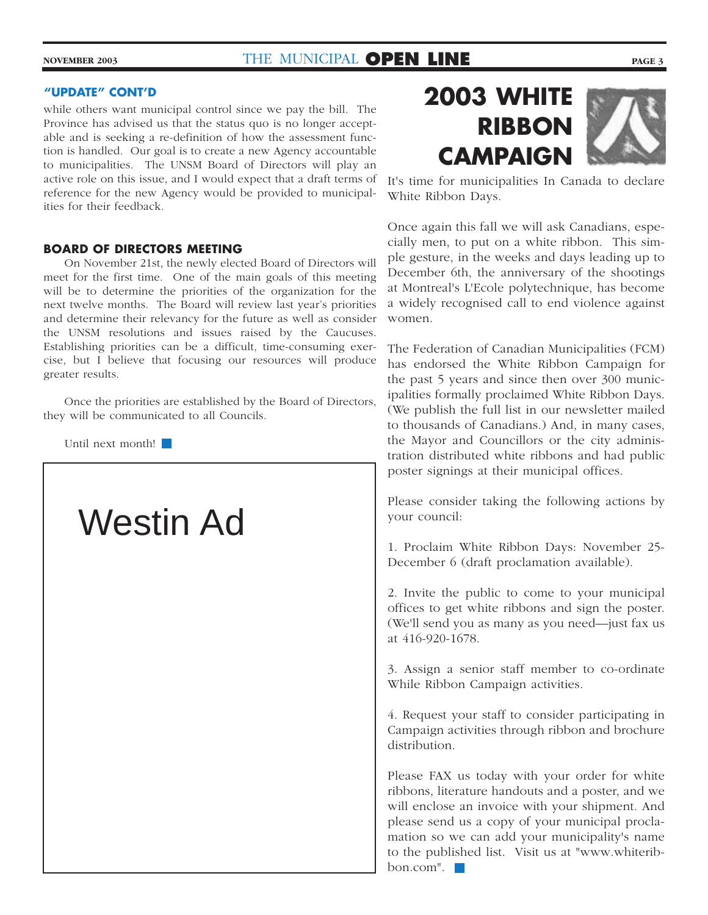while others want municipal control since we pay the bill. The Province has advised us that the status quo is no longer acceptable and is seeking a re-definition of how the assessment function is handled. Our goal is to create a new Agency accountable to municipalities. The UNSM Board of Directors will play an active role on this issue, and I would expect that a draft terms of reference for the new Agency would be provided to municipalities for their feedback.

#### **BOARD OF DIRECTORS MEETING**

On November 21st, the newly elected Board of Directors will meet for the first time. One of the main goals of this meeting will be to determine the priorities of the organization for the next twelve months. The Board will review last year's priorities and determine their relevancy for the future as well as consider the UNSM resolutions and issues raised by the Caucuses. Establishing priorities can be a difficult, time-consuming exercise, but I believe that focusing our resources will produce greater results.

Once the priorities are established by the Board of Directors, they will be communicated to all Councils.

Until next month!

# Westin Ad



It's time for municipalities In Canada to declare White Ribbon Days.

Once again this fall we will ask Canadians, especially men, to put on a white ribbon. This simple gesture, in the weeks and days leading up to December 6th, the anniversary of the shootings at Montreal's L'Ecole polytechnique, has become a widely recognised call to end violence against women.

The Federation of Canadian Municipalities (FCM) has endorsed the White Ribbon Campaign for the past 5 years and since then over 300 municipalities formally proclaimed White Ribbon Days. (We publish the full list in our newsletter mailed to thousands of Canadians.) And, in many cases, the Mayor and Councillors or the city administration distributed white ribbons and had public poster signings at their municipal offices.

Please consider taking the following actions by your council:

1. Proclaim White Ribbon Days: November 25- December 6 (draft proclamation available).

2. Invite the public to come to your municipal offices to get white ribbons and sign the poster. (We'll send you as many as you need—just fax us at 416-920-1678.

3. Assign a senior staff member to co-ordinate While Ribbon Campaign activities.

4. Request your staff to consider participating in Campaign activities through ribbon and brochure distribution.

Please FAX us today with your order for white ribbons, literature handouts and a poster, and we will enclose an invoice with your shipment. And please send us a copy of your municipal proclamation so we can add your municipality's name to the published list. Visit us at "www.whiteribbon.com".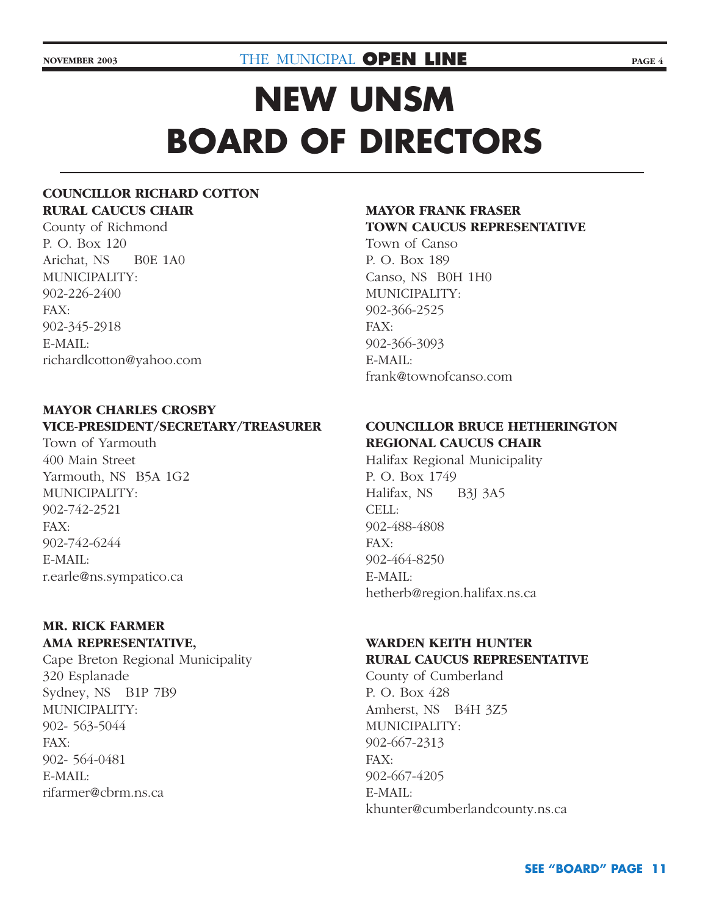# **NEW UNSM BOARD OF DIRECTORS**

## **COUNCILLOR RICHARD COTTON RURAL CAUCUS CHAIR**

County of Richmond P. O. Box 120 Arichat, NS B0E 1A0 MUNICIPALITY: 902-226-2400 FAX: 902-345-2918 E-MAIL: richardlcotton@yahoo.com

## **MAYOR CHARLES CROSBY VICE-PRESIDENT/SECRETARY/TREASURER**

Town of Yarmouth 400 Main Street Yarmouth, NS B5A 1G2 MUNICIPALITY: 902-742-2521 FAX: 902-742-6244 E-MAIL: r.earle@ns.sympatico.ca

## **MR. RICK FARMER AMA REPRESENTATIVE,**

Cape Breton Regional Municipality 320 Esplanade Sydney, NS B1P 7B9 MUNICIPALITY: 902- 563-5044 FAX: 902- 564-0481 E-MAIL: rifarmer@cbrm.ns.ca

## **MAYOR FRANK FRASER TOWN CAUCUS REPRESENTATIVE**

Town of Canso P. O. Box 189 Canso, NS B0H 1H0 MUNICIPALITY: 902-366-2525 FAX: 902-366-3093 E-MAIL: frank@townofcanso.com

## **COUNCILLOR BRUCE HETHERINGTON REGIONAL CAUCUS CHAIR**

Halifax Regional Municipality P. O. Box 1749 Halifax, NS B3J 3A5 CELL: 902-488-4808 FAX: 902-464-8250 E-MAIL: hetherb@region.halifax.ns.ca

## **WARDEN KEITH HUNTER RURAL CAUCUS REPRESENTATIVE**

County of Cumberland P. O. Box 428 Amherst, NS B4H 3Z5 MUNICIPALITY: 902-667-2313 FAX: 902-667-4205 E-MAIL: khunter@cumberlandcounty.ns.ca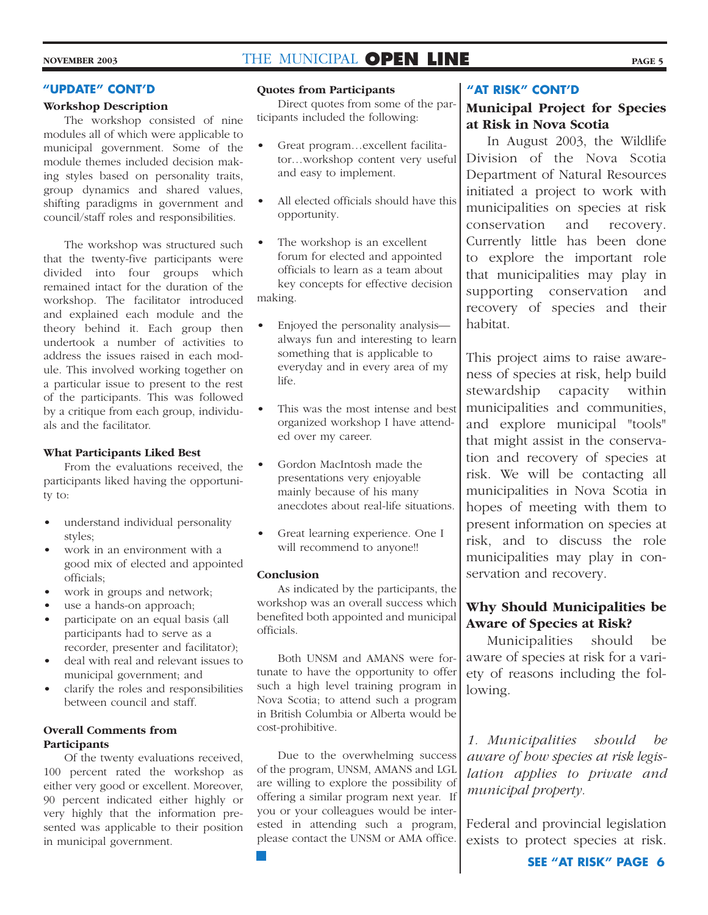#### **"UPDATE" CONT'D**

#### **Workshop Description**

The workshop consisted of nine modules all of which were applicable to municipal government. Some of the module themes included decision making styles based on personality traits, group dynamics and shared values, shifting paradigms in government and council/staff roles and responsibilities.

The workshop was structured such that the twenty-five participants were divided into four groups which remained intact for the duration of the workshop. The facilitator introduced and explained each module and the theory behind it. Each group then undertook a number of activities to address the issues raised in each module. This involved working together on a particular issue to present to the rest of the participants. This was followed by a critique from each group, individuals and the facilitator.

#### **What Participants Liked Best**

From the evaluations received, the participants liked having the opportunity to:

- understand individual personality styles;
- work in an environment with a good mix of elected and appointed officials;
- work in groups and network;
- use a hands-on approach;
- participate on an equal basis (all participants had to serve as a recorder, presenter and facilitator);
- deal with real and relevant issues to municipal government; and
- clarify the roles and responsibilities between council and staff.

#### **Overall Comments from Participants**

Of the twenty evaluations received, 100 percent rated the workshop as either very good or excellent. Moreover, 90 percent indicated either highly or very highly that the information presented was applicable to their position in municipal government.

#### **Quotes from Participants**

Direct quotes from some of the participants included the following:

- Great program…excellent facilitator…workshop content very useful and easy to implement.
- All elected officials should have this opportunity.
- The workshop is an excellent forum for elected and appointed officials to learn as a team about key concepts for effective decision making.
- Enjoyed the personality analysis always fun and interesting to learn something that is applicable to everyday and in every area of my life.
- This was the most intense and best organized workshop I have attended over my career.
- Gordon MacIntosh made the presentations very enjoyable mainly because of his many anecdotes about real-life situations.
- Great learning experience. One I will recommend to anyone!!

#### **Conclusion**

As indicated by the participants, the workshop was an overall success which benefited both appointed and municipal officials.

Both UNSM and AMANS were fortunate to have the opportunity to offer such a high level training program in Nova Scotia; to attend such a program in British Columbia or Alberta would be cost-prohibitive.

Due to the overwhelming success of the program, UNSM, AMANS and LGL are willing to explore the possibility of offering a similar program next year. If you or your colleagues would be interested in attending such a program, please contact the UNSM or AMA office.

#### **"AT RISK" CONT'D**

## **Municipal Project for Species at Risk in Nova Scotia**

In August 2003, the Wildlife Division of the Nova Scotia Department of Natural Resources initiated a project to work with municipalities on species at risk conservation and recovery. Currently little has been done to explore the important role that municipalities may play in supporting conservation and recovery of species and their habitat.

This project aims to raise awareness of species at risk, help build stewardship capacity within municipalities and communities, and explore municipal "tools" that might assist in the conservation and recovery of species at risk. We will be contacting all municipalities in Nova Scotia in hopes of meeting with them to present information on species at risk, and to discuss the role municipalities may play in conservation and recovery.

## **Why Should Municipalities be Aware of Species at Risk?**

Municipalities should be aware of species at risk for a variety of reasons including the following.

*1. Municipalities should be aware of how species at risk legislation applies to private and municipal property.*

Federal and provincial legislation exists to protect species at risk.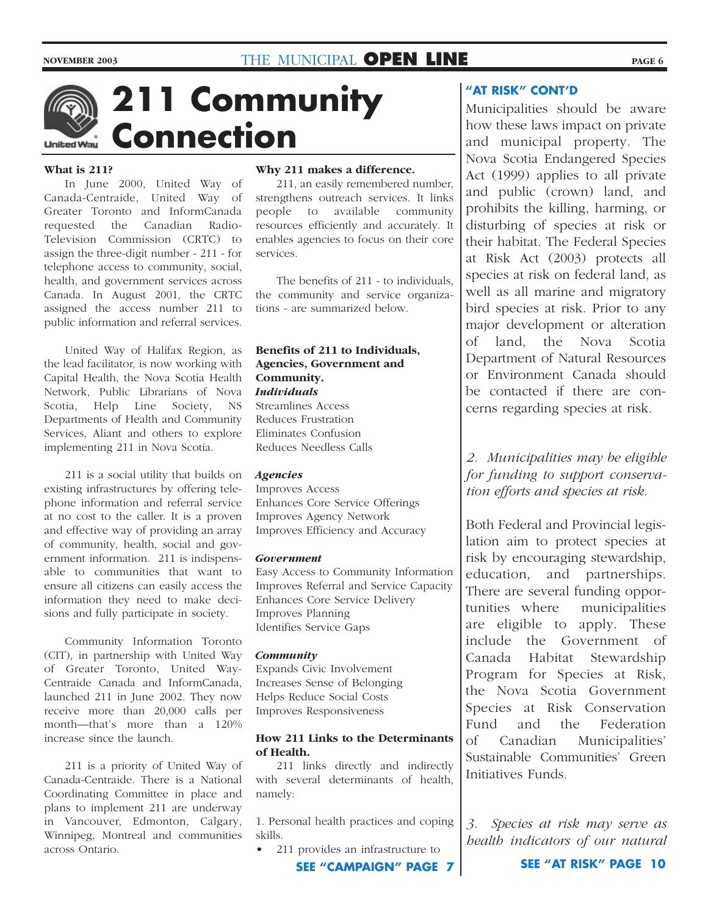

**211 Community Connection**

#### **What is 211?**

In June 2000, United Way of Canada-Centraide, United Way of Greater Toronto and InformCanada requested the Canadian Radio-Television Commission (CRTC) to assign the three-digit number - 211 - for telephone access to community, social, health, and government services across Canada. In August 2001, the CRTC assigned the access number 211 to public information and referral services.

United Way of Halifax Region, as the lead facilitator, is now working with Capital Health, the Nova Scotia Health Network, Public Librarians of Nova Scotia, Help Line Society, NS Departments of Health and Community Services, Aliant and others to explore implementing 211 in Nova Scotia.

211 is a social utility that builds on existing infrastructures by offering telephone information and referral service at no cost to the caller. It is a proven and effective way of providing an array of community, health, social and government information. 211 is indispensable to communities that want to ensure all citizens can easily access the information they need to make decisions and fully participate in society.

Community Information Toronto (CIT), in partnership with United Way of Greater Toronto, United Way-Centraide Canada and InformCanada, launched 211 in June 2002. They now receive more than 20,000 calls per month—that's more than a 120% increase since the launch.

211 is a priority of United Way of Canada-Centraide. There is a National Coordinating Committee in place and plans to implement 211 are underway in Vancouver, Edmonton, Calgary, Winnipeg, Montreal and communities across Ontario.

#### **Why 211 makes a difference.**

211, an easily remembered number, strengthens outreach services. It links people to available community resources efficiently and accurately. It enables agencies to focus on their core services.

The benefits of 211 - to individuals, the community and service organizations - are summarized below.

#### **Benefits of 211 to Individuals, Agencies, Government and Community.** *Individuals*

Streamlines Access Reduces Frustration Eliminates Confusion Reduces Needless Calls

#### *Agencies*

Improves Access Enhances Core Service Offerings Improves Agency Network Improves Efficiency and Accuracy

#### *Government*

Easy Access to Community Information Improves Referral and Service Capacity Enhances Core Service Delivery Improves Planning Identifies Service Gaps

#### *Community*

Expands Civic Involvement Increases Sense of Belonging Helps Reduce Social Costs Improves Responsiveness

#### **How 211 Links to the Determinants of Health.**

211 links directly and indirectly with several determinants of health, namely:

1. Personal health practices and coping skills.

• 211 provides an infrastructure to

**"AT RISK" CONT'D**

Municipalities should be aware how these laws impact on private and municipal property. The Nova Scotia Endangered Species Act (1999) applies to all private and public (crown) land, and prohibits the killing, harming, or disturbing of species at risk or their habitat. The Federal Species at Risk Act (2003) protects all species at risk on federal land, as well as all marine and migratory bird species at risk. Prior to any major development or alteration of land, the Nova Scotia Department of Natural Resources or Environment Canada should be contacted if there are concerns regarding species at risk.

*2. Municipalities may be eligible for funding to support conservation efforts and species at risk.* 

Both Federal and Provincial legislation aim to protect species at risk by encouraging stewardship, education, and partnerships. There are several funding opportunities where municipalities are eligible to apply. These include the Government of Canada Habitat Stewardship Program for Species at Risk, the Nova Scotia Government Species at Risk Conservation Fund and the Federation of Canadian Municipalities' Sustainable Communities' Green Initiatives Funds.

*3. Species at risk may serve as health indicators of our natural*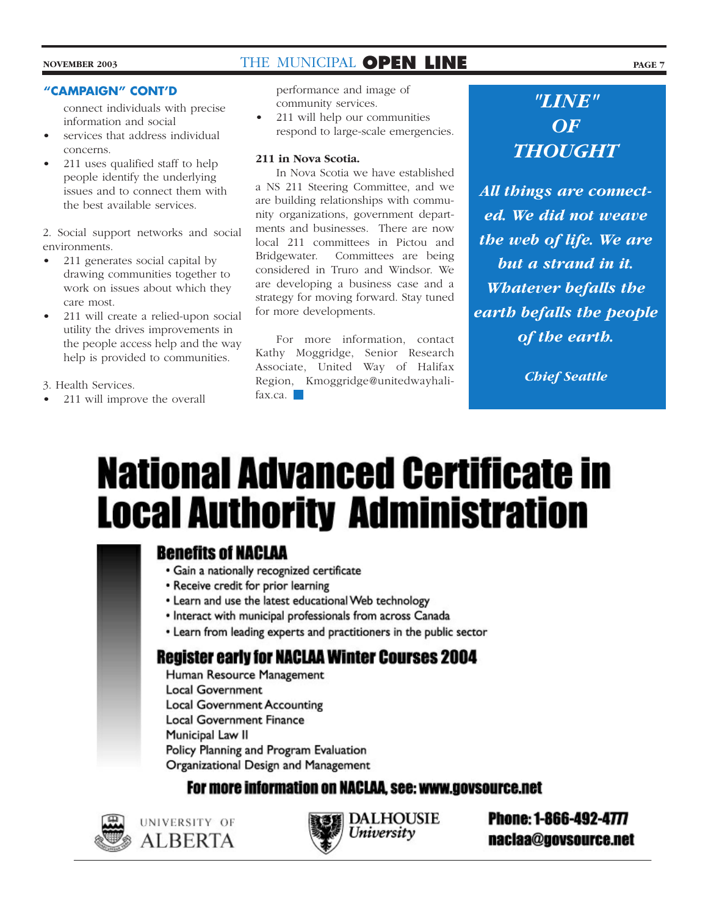information and social

- services that address individual concerns.
- 211 uses qualified staff to help people identify the underlying issues and to connect them with the best available services.

2. Social support networks and social environments.

- 211 generates social capital by drawing communities together to work on issues about which they care most.
- 211 will create a relied-upon social utility the drives improvements in the people access help and the way help is provided to communities.

3. Health Services.

• 211 will improve the overall

connect individuals with precise **"CAMPAIGN" CONT'D** *"LINE"*  performance and image of community services.

• 211 will help our communities respond to large-scale emergencies.

#### **211 in Nova Scotia.**

In Nova Scotia we have established a NS 211 Steering Committee, and we are building relationships with community organizations, government departments and businesses. There are now local 211 committees in Pictou and Bridgewater. Committees are being considered in Truro and Windsor. We are developing a business case and a strategy for moving forward. Stay tuned for more developments.

For more information, contact Kathy Moggridge, Senior Research Associate, United Way of Halifax Region, Kmoggridge@unitedwayhalifax.ca.

*OF THOUGHT*

*All things are connected. We did not weave the web of life. We are but a strand in it. Whatever befalls the earth befalls the people of the earth.* 

*Chief Seattle*

# **National Advanced Certificate in Local Authority Administration**

## **Benefits of NACLAA**

- · Gain a nationally recognized certificate
- Receive credit for prior learning
- Learn and use the latest educational Web technology
- · Interact with municipal professionals from across Canada
- Learn from leading experts and practitioners in the public sector

## **Register early for NACLAA Winter Courses 2004**

Human Resource Management **Local Government Local Government Accounting Local Government Finance** Municipal Law II Policy Planning and Program Evaluation Organizational Design and Management

For more information on NACLAA, see: www.govsource.net



UNIVERSITY OF **ALBERTA** 



**Phone: 1-866-492-4777** naclaa@govsource.net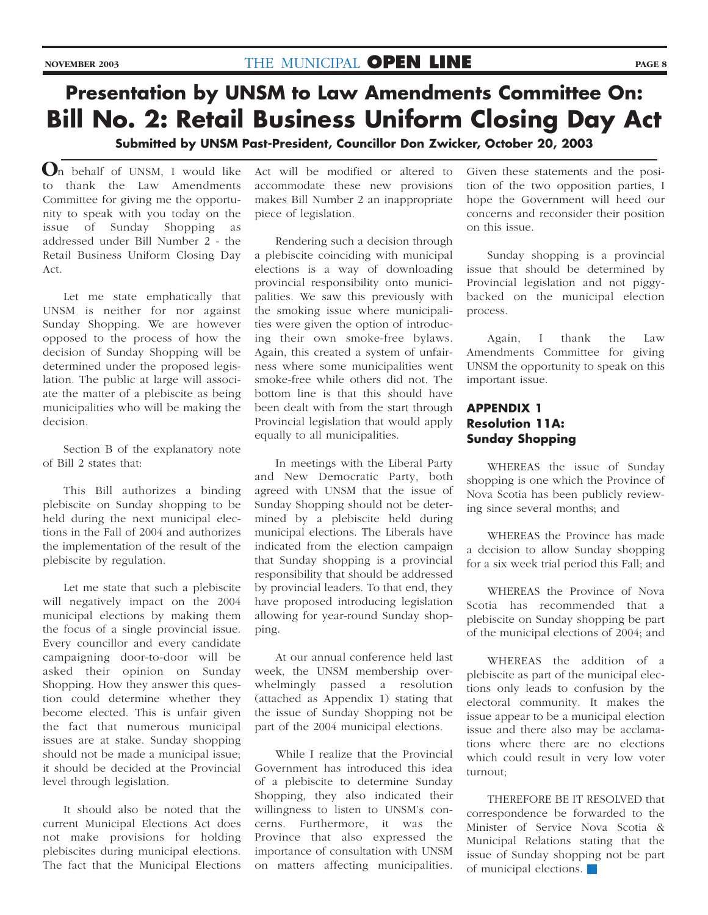## **Presentation by UNSM to Law Amendments Committee On: Bill No. 2: Retail Business Uniform Closing Day Act**

**Submitted by UNSM Past-President, Councillor Don Zwicker, October 20, 2003**

n behalf of UNSM, I would like **O**to thank the Law Amendments Committee for giving me the opportunity to speak with you today on the issue of Sunday Shopping as addressed under Bill Number 2 - the Retail Business Uniform Closing Day Act.

Let me state emphatically that UNSM is neither for nor against Sunday Shopping. We are however opposed to the process of how the decision of Sunday Shopping will be determined under the proposed legislation. The public at large will associate the matter of a plebiscite as being municipalities who will be making the decision.

Section B of the explanatory note of Bill 2 states that:

This Bill authorizes a binding plebiscite on Sunday shopping to be held during the next municipal elections in the Fall of 2004 and authorizes the implementation of the result of the plebiscite by regulation.

Let me state that such a plebiscite will negatively impact on the 2004 municipal elections by making them the focus of a single provincial issue. Every councillor and every candidate campaigning door-to-door will be asked their opinion on Sunday Shopping. How they answer this question could determine whether they become elected. This is unfair given the fact that numerous municipal issues are at stake. Sunday shopping should not be made a municipal issue; it should be decided at the Provincial level through legislation.

It should also be noted that the current Municipal Elections Act does not make provisions for holding plebiscites during municipal elections. The fact that the Municipal Elections Act will be modified or altered to accommodate these new provisions makes Bill Number 2 an inappropriate piece of legislation.

Rendering such a decision through a plebiscite coinciding with municipal elections is a way of downloading provincial responsibility onto municipalities. We saw this previously with the smoking issue where municipalities were given the option of introducing their own smoke-free bylaws. Again, this created a system of unfairness where some municipalities went smoke-free while others did not. The bottom line is that this should have been dealt with from the start through Provincial legislation that would apply equally to all municipalities.

In meetings with the Liberal Party and New Democratic Party, both agreed with UNSM that the issue of Sunday Shopping should not be determined by a plebiscite held during municipal elections. The Liberals have indicated from the election campaign that Sunday shopping is a provincial responsibility that should be addressed by provincial leaders. To that end, they have proposed introducing legislation allowing for year-round Sunday shopping.

At our annual conference held last week, the UNSM membership overwhelmingly passed a resolution (attached as Appendix 1) stating that the issue of Sunday Shopping not be part of the 2004 municipal elections.

While I realize that the Provincial Government has introduced this idea of a plebiscite to determine Sunday Shopping, they also indicated their willingness to listen to UNSM's concerns. Furthermore, it was the Province that also expressed the importance of consultation with UNSM on matters affecting municipalities.

Given these statements and the position of the two opposition parties, I hope the Government will heed our concerns and reconsider their position on this issue.

Sunday shopping is a provincial issue that should be determined by Provincial legislation and not piggybacked on the municipal election process.

Again, I thank the Law Amendments Committee for giving UNSM the opportunity to speak on this important issue.

## **APPENDIX 1 Resolution 11A: Sunday Shopping**

WHEREAS the issue of Sunday shopping is one which the Province of Nova Scotia has been publicly reviewing since several months; and

WHEREAS the Province has made a decision to allow Sunday shopping for a six week trial period this Fall; and

WHEREAS the Province of Nova Scotia has recommended that a plebiscite on Sunday shopping be part of the municipal elections of 2004; and

WHEREAS the addition of a plebiscite as part of the municipal elections only leads to confusion by the electoral community. It makes the issue appear to be a municipal election issue and there also may be acclamations where there are no elections which could result in very low voter turnout;

THEREFORE BE IT RESOLVED that correspondence be forwarded to the Minister of Service Nova Scotia & Municipal Relations stating that the issue of Sunday shopping not be part of municipal elections.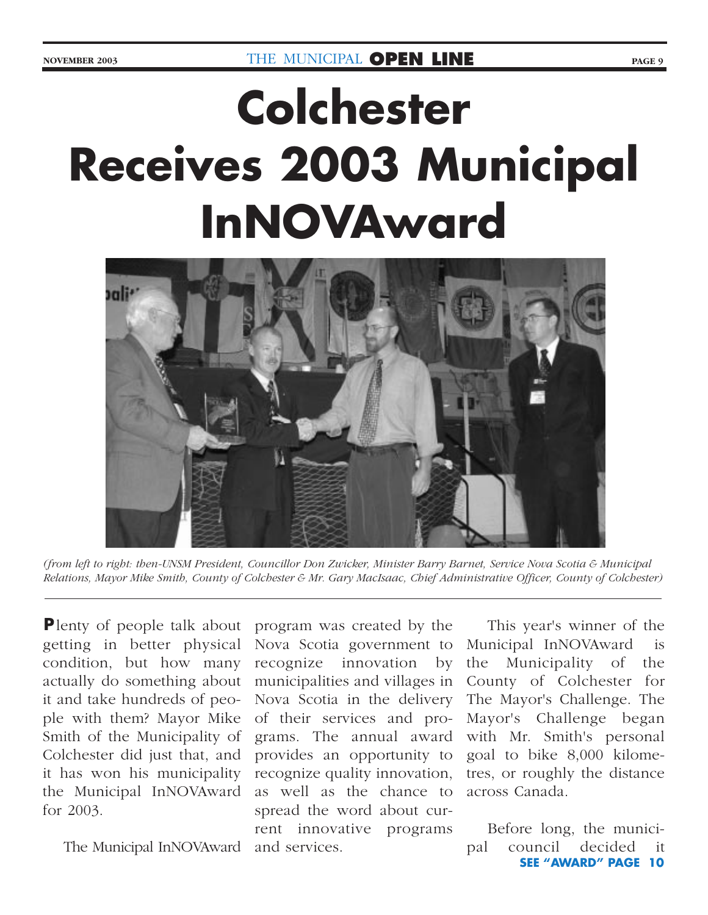# **Colchester Receives 2003 Municipal InNOVAward**



*(from left to right: then-UNSM President, Councillor Don Zwicker, Minister Barry Barnet, Service Nova Scotia & Municipal Relations, Mayor Mike Smith, County of Colchester & Mr. Gary MacIsaac, Chief Administrative Officer, County of Colchester)*

**P** lenty of people talk about getting in better physical condition, but how many actually do something about it and take hundreds of people with them? Mayor Mike Smith of the Municipality of Colchester did just that, and it has won his municipality the Municipal InNOVAward for 2003.

The Municipal InNOVAward

program was created by the Nova Scotia government to recognize innovation by municipalities and villages in Nova Scotia in the delivery of their services and programs. The annual award provides an opportunity to goal to bike 8,000 kilomerecognize quality innovation, as well as the chance to spread the word about current innovative programs and services.

This year's winner of the Municipal InNOVAward is the Municipality of the County of Colchester for The Mayor's Challenge. The Mayor's Challenge began with Mr. Smith's personal tres, or roughly the distance across Canada.

Before long, the municipal council decided it **SEE "AWARD" PAGE 10**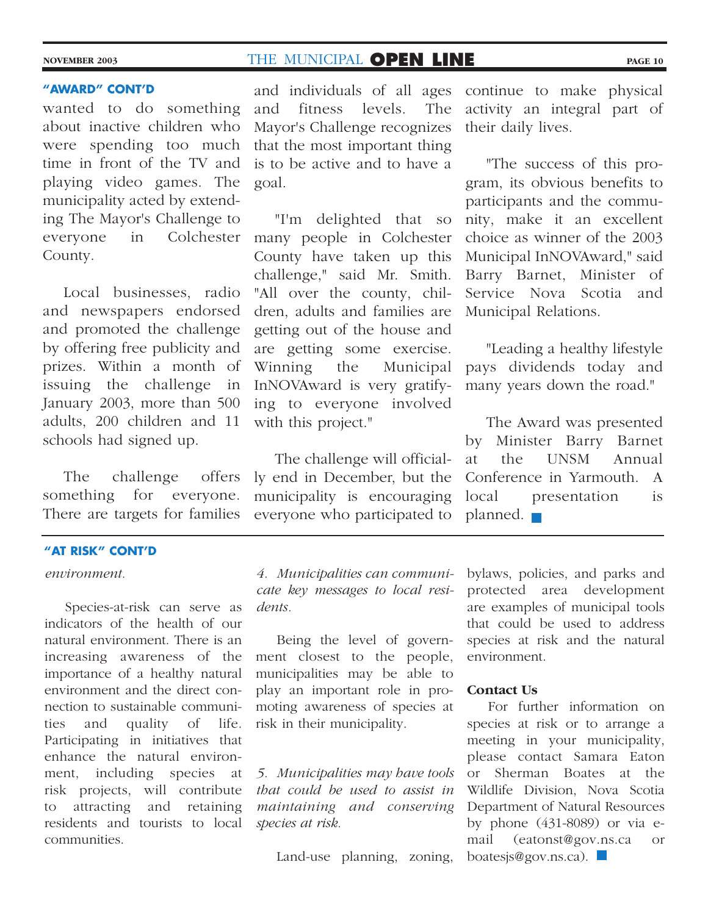#### **"AWARD" CONT'D**

wanted to do something about inactive children who were spending too much time in front of the TV and playing video games. The municipality acted by extending The Mayor's Challenge to everyone in Colchester County.

Local businesses, radio and newspapers endorsed and promoted the challenge by offering free publicity and prizes. Within a month of issuing the challenge in January 2003, more than 500 adults, 200 children and 11 schools had signed up.

The challenge offers something for everyone. There are targets for families

#### **"AT RISK" CONT'D**

#### *environment.*

Species-at-risk can serve as indicators of the health of our natural environment. There is an increasing awareness of the importance of a healthy natural environment and the direct connection to sustainable communities and quality of life. Participating in initiatives that enhance the natural environment, including species at risk projects, will contribute to attracting and retaining residents and tourists to local communities.

and individuals of all ages continue to make physical and fitness levels. The Mayor's Challenge recognizes that the most important thing is to be active and to have a goal.

"I'm delighted that so many people in Colchester County have taken up this challenge," said Mr. Smith. "All over the county, children, adults and families are getting out of the house and are getting some exercise. Winning the Municipal InNOVAward is very gratifying to everyone involved with this project."

The challenge will officially end in December, but the municipality is encouraging everyone who participated to

activity an integral part of their daily lives.

"The success of this program, its obvious benefits to participants and the community, make it an excellent choice as winner of the 2003 Municipal InNOVAward," said Barry Barnet, Minister of Service Nova Scotia and Municipal Relations.

"Leading a healthy lifestyle pays dividends today and many years down the road."

The Award was presented by Minister Barry Barnet at the UNSM Annual Conference in Yarmouth. A local presentation is planned.  $\blacksquare$ 

*4. Municipalities can communicate key messages to local residents.*

Being the level of government closest to the people, municipalities may be able to play an important role in promoting awareness of species at risk in their municipality.

*5. Municipalities may have tools that could be used to assist in maintaining and conserving species at risk.*

Land-use planning, zoning,

bylaws, policies, and parks and protected area development are examples of municipal tools that could be used to address species at risk and the natural environment.

#### **Contact Us**

For further information on species at risk or to arrange a meeting in your municipality, please contact Samara Eaton or Sherman Boates at the Wildlife Division, Nova Scotia Department of Natural Resources by phone (431-8089) or via email (eatonst@gov.ns.ca or boatesjs@gov.ns.ca).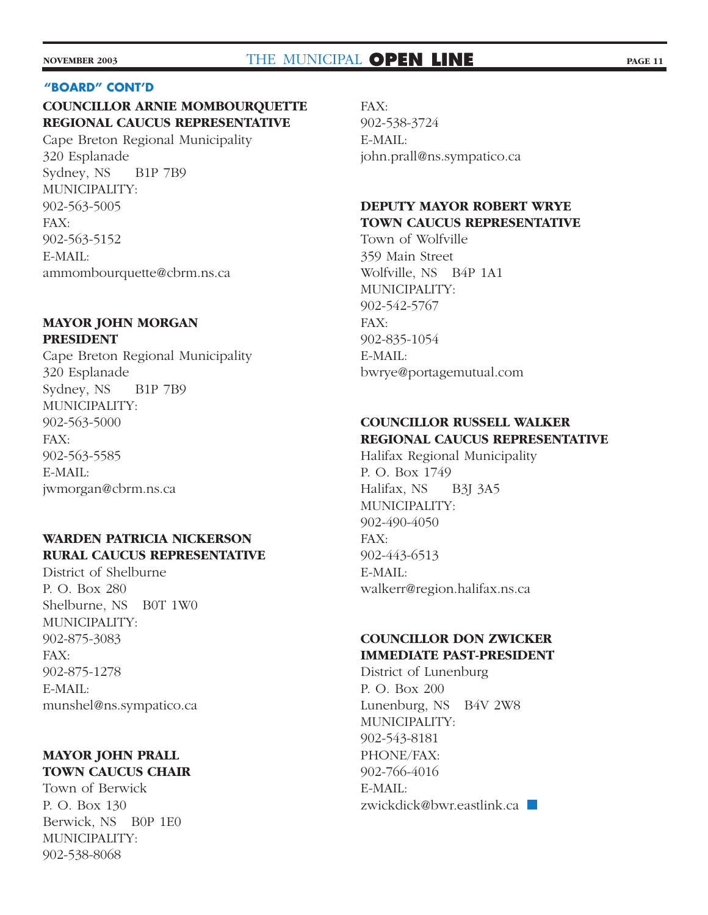#### **"BOARD" CONT'D**

## **COUNCILLOR ARNIE MOMBOURQUETTE REGIONAL CAUCUS REPRESENTATIVE**

Cape Breton Regional Municipality 320 Esplanade Sydney, NS B1P 7B9 MUNICIPALITY: 902-563-5005 FAX: 902-563-5152 E-MAIL: ammombourquette@cbrm.ns.ca

#### **MAYOR JOHN MORGAN PRESIDENT**

Cape Breton Regional Municipality 320 Esplanade Sydney, NS B1P 7B9 MUNICIPALITY: 902-563-5000 FAX: 902-563-5585 E-MAIL: jwmorgan@cbrm.ns.ca

## **WARDEN PATRICIA NICKERSON RURAL CAUCUS REPRESENTATIVE**

District of Shelburne P. O. Box 280 Shelburne, NS B0T 1W0 MUNICIPALITY: 902-875-3083 FAX: 902-875-1278 E-MAIL: munshel@ns.sympatico.ca

## **MAYOR JOHN PRALL TOWN CAUCUS CHAIR**

Town of Berwick P. O. Box 130 Berwick, NS B0P 1E0 MUNICIPALITY: 902-538-8068

FAX: 902-538-3724 E-MAIL: john.prall@ns.sympatico.ca

## **DEPUTY MAYOR ROBERT WRYE TOWN CAUCUS REPRESENTATIVE**

Town of Wolfville 359 Main Street Wolfville, NS B4P 1A1 MUNICIPALITY: 902-542-5767 FAX: 902-835-1054 E-MAIL: bwrye@portagemutual.com

## **COUNCILLOR RUSSELL WALKER REGIONAL CAUCUS REPRESENTATIVE**

Halifax Regional Municipality P. O. Box 1749 Halifax, NS B3J 3A5 MUNICIPALITY: 902-490-4050 FAX: 902-443-6513 E-MAIL: walkerr@region.halifax.ns.ca

## **COUNCILLOR DON ZWICKER IMMEDIATE PAST-PRESIDENT**

District of Lunenburg P. O. Box 200 Lunenburg, NS B4V 2W8 MUNICIPALITY: 902-543-8181 PHONE/FAX: 902-766-4016 E-MAIL: zwickdick@bwr.eastlink.ca